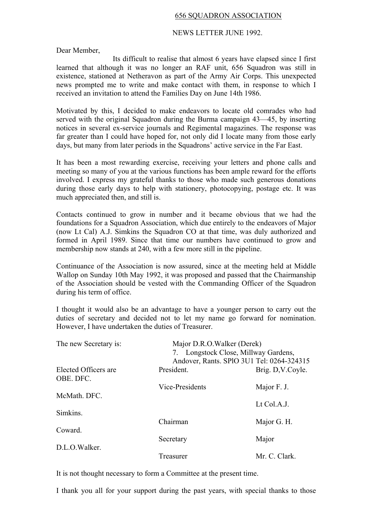## 656 SQUADRON ASSOCIATION

## NEWS LETTER JUNE 1992.

Dear Member,

Its difficult to realise that almost 6 years have elapsed since I first learned that although it was no longer an RAF unit, 656 Squadron was still in existence, stationed at Netheravon as part of the Army Air Corps. This unexpected news prompted me to write and make contact with them, in response to which I received an invitation to attend the Families Day on June 14th 1986.

Motivated by this, I decided to make endeavors to locate old comrades who had served with the original Squadron during the Burma campaign 43—45, by inserting notices in several ex-service journals and Regimental magazines. The response was far greater than I could have hoped for, not only did I locate many from those early days, but many from later periods in the Squadrons' active service in the Far East.

It has been a most rewarding exercise, receiving your letters and phone calls and meeting so many of you at the various functions has been ample reward for the efforts involved. I express my grateful thanks to those who made such generous donations during those early days to help with stationery, photocopying, postage etc. It was much appreciated then, and still is.

Contacts continued to grow in number and it became obvious that we had the foundations for a Squadron Association, which due entirely to the endeavors of Major (now Lt Cal) A.J. Simkins the Squadron CO at that time, was duly authorized and formed in April 1989. Since that time our numbers have continued to grow and membership now stands at 240, with a few more still in the pipeline.

Continuance of the Association is now assured, since at the meeting held at Middle Wallop on Sunday 10th May 1992, it was proposed and passed that the Chairmanship of the Association should be vested with the Commanding Officer of the Squadron during his term of office.

I thought it would also be an advantage to have a younger person to carry out the duties of secretary and decided not to let my name go forward for nomination. However, I have undertaken the duties of Treasurer.

| The new Secretary is:             | Major D.R.O.Walker (Derek)<br>7. Longstock Close, Millway Gardens,<br>Andover, Rants. SPIO 3U1 Tel: 0264-324315 |                  |
|-----------------------------------|-----------------------------------------------------------------------------------------------------------------|------------------|
| Elected Officers are<br>OBE. DFC. | President.                                                                                                      | Brig. D,V.Coyle. |
|                                   | Vice-Presidents                                                                                                 | Major F. J.      |
| McMath. DFC.                      |                                                                                                                 | Lt Col.A.J.      |
| Simkins.                          |                                                                                                                 |                  |
| Coward.                           | Chairman                                                                                                        | Major G. H.      |
|                                   | Secretary                                                                                                       | Major            |
| D.L.O.Walker.                     | Treasurer                                                                                                       | Mr. C. Clark.    |

It is not thought necessary to form a Committee at the present time.

I thank you all for your support during the past years, with special thanks to those